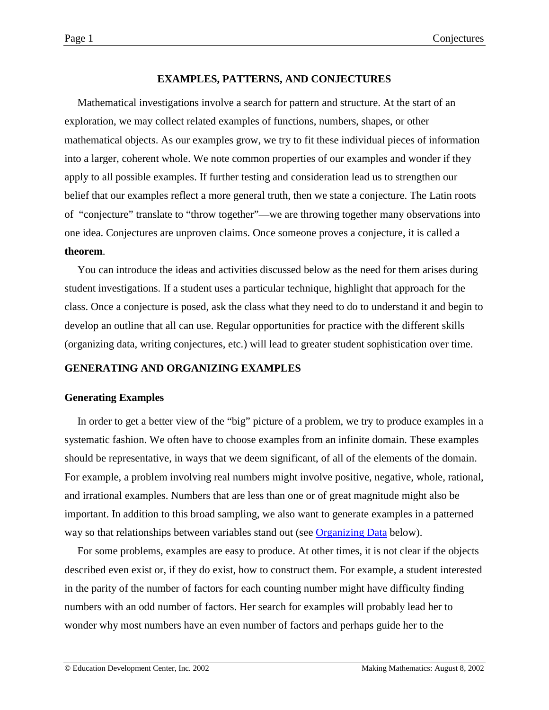# **EXAMPLES, PATTERNS, AND CONJECTURES**

<span id="page-0-0"></span>Mathematical investigations involve a search for pattern and structure. At the start of an exploration, we may collect related examples of functions, numbers, shapes, or other mathematical objects. As our examples grow, we try to fit these individual pieces of information into a larger, coherent whole. We note common properties of our examples and wonder if they apply to all possible examples. If further testing and consideration lead us to strengthen our belief that our examples reflect a more general truth, then we state a conjecture. The Latin roots of "conjecture" translate to "throw together"—we are throwing together many observations into one idea. Conjectures are unproven claims. Once someone proves a conjecture, it is called a **theorem**.

You can introduce the ideas and activities discussed below as the need for them arises during student investigations. If a student uses a particular technique, highlight that approach for the class. Once a conjecture is posed, ask the class what they need to do to understand it and begin to develop an outline that all can use. Regular opportunities for practice with the different skills (organizing data, writing conjectures, etc.) will lead to greater student sophistication over time.

## **GENERATING AND ORGANIZING EXAMPLES**

## **Generating Examples**

In order to get a better view of the "big" picture of a problem, we try to produce examples in a systematic fashion. We often have to choose examples from an infinite domain. These examples should be representative, in ways that we deem significant, of all of the elements of the domain. For example, a problem involving real numbers might involve positive, negative, whole, rational, and irrational examples. Numbers that are less than one or of great magnitude might also be important. In addition to this broad sampling, we also want to generate examples in a patterned way so that relationships between variables stand out (see [Organizing Data](#page-4-0) below).

For some problems, examples are easy to produce. At other times, it is not clear if the objects described even exist or, if they do exist, how to construct them. For example, a student interested in the parity of the number of factors for each counting number might have difficulty finding numbers with an odd number of factors. Her search for examples will probably lead her to wonder why most numbers have an even number of factors and perhaps guide her to the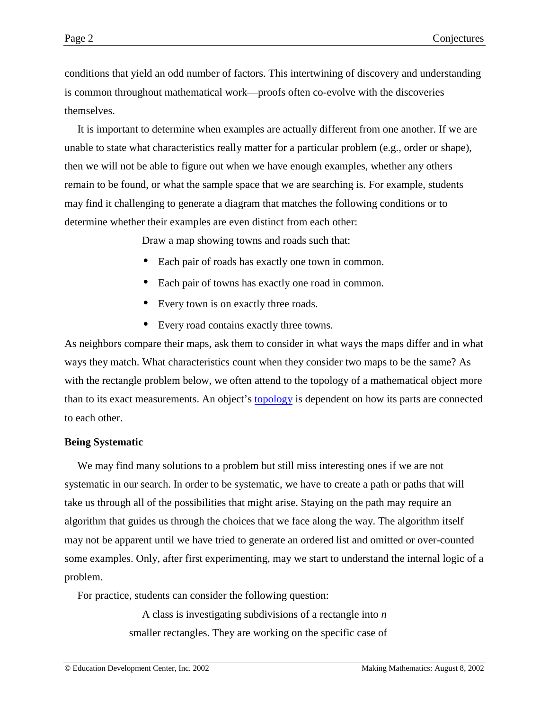conditions that yield an odd number of factors. This intertwining of discovery and understanding is common throughout mathematical work—proofs often co-evolve with the discoveries themselves.

It is important to determine when examples are actually different from one another. If we are unable to state what characteristics really matter for a particular problem (e.g., order or shape), then we will not be able to figure out when we have enough examples, whether any others remain to be found, or what the sample space that we are searching is. For example, students may find it challenging to generate a diagram that matches the following conditions or to determine whether their examples are even distinct from each other:

Draw a map showing towns and roads such that:

- Each pair of roads has exactly one town in common.
- Each pair of towns has exactly one road in common.
- Every town is on exactly three roads.
- Every road contains exactly three towns.

As neighbors compare their maps, ask them to consider in what ways the maps differ and in what ways they match. What characteristics count when they consider two maps to be the same? As with the rectangle problem below, we often attend to the topology of a mathematical object more than to its exact measurements. An object's [topology](http://www.questacon.edu.au/html/what_is_topology_.html) is dependent on how its parts are connected to each other.

## **Being Systematic**

We may find many solutions to a problem but still miss interesting ones if we are not systematic in our search. In order to be systematic, we have to create a path or paths that will take us through all of the possibilities that might arise. Staying on the path may require an algorithm that guides us through the choices that we face along the way. The algorithm itself may not be apparent until we have tried to generate an ordered list and omitted or over-counted some examples. Only, after first experimenting, may we start to understand the internal logic of a problem.

For practice, students can consider the following question:

A class is investigating subdivisions of a rectangle into *n* smaller rectangles. They are working on the specific case of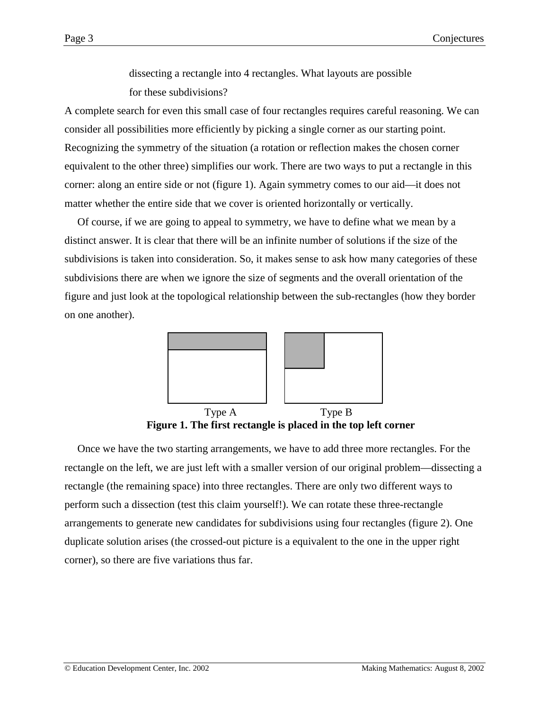dissecting a rectangle into 4 rectangles. What layouts are possible for these subdivisions?

A complete search for even this small case of four rectangles requires careful reasoning. We can consider all possibilities more efficiently by picking a single corner as our starting point. Recognizing the symmetry of the situation (a rotation or reflection makes the chosen corner equivalent to the other three) simplifies our work. There are two ways to put a rectangle in this corner: along an entire side or not (figure 1). Again symmetry comes to our aid—it does not matter whether the entire side that we cover is oriented horizontally or vertically.

Of course, if we are going to appeal to symmetry, we have to define what we mean by a distinct answer. It is clear that there will be an infinite number of solutions if the size of the subdivisions is taken into consideration. So, it makes sense to ask how many categories of these subdivisions there are when we ignore the size of segments and the overall orientation of the figure and just look at the topological relationship between the sub-rectangles (how they border on one another).



Type A Type B **Figure 1. The first rectangle is placed in the top left corner**

Once we have the two starting arrangements, we have to add three more rectangles. For the rectangle on the left, we are just left with a smaller version of our original problem—dissecting a rectangle (the remaining space) into three rectangles. There are only two different ways to perform such a dissection (test this claim yourself!). We can rotate these three-rectangle arrangements to generate new candidates for subdivisions using four rectangles (figure 2). One duplicate solution arises (the crossed-out picture is a equivalent to the one in the upper right corner), so there are five variations thus far.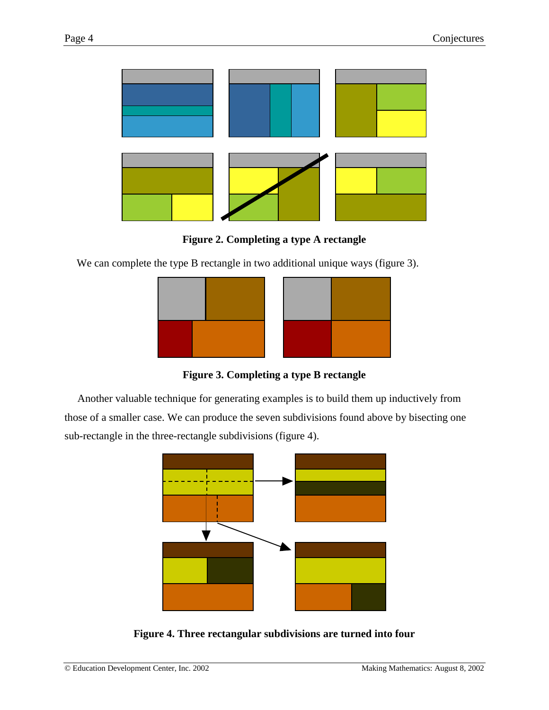

**Figure 2. Completing a type A rectangle**

We can complete the type B rectangle in two additional unique ways (figure 3).



**Figure 3. Completing a type B rectangle**

Another valuable technique for generating examples is to build them up inductively from those of a smaller case. We can produce the seven subdivisions found above by bisecting one sub-rectangle in the three-rectangle subdivisions (figure 4).



**Figure 4. Three rectangular subdivisions are turned into four**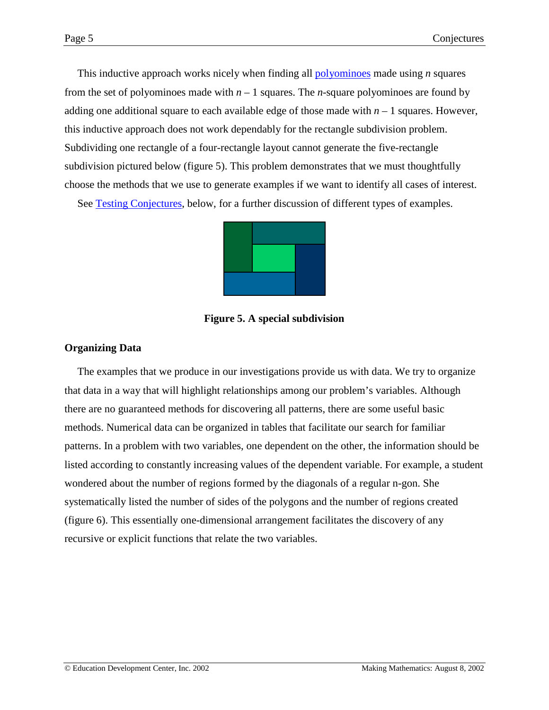<span id="page-4-0"></span>This inductive approach works nicely when finding all [polyominoes](http://math.rice.edu/~lanius/Lessons/Polys/poly2.html) made using *n* squares from the set of polyominoes made with *n* – 1 squares. The *n*-square polyominoes are found by adding one additional square to each available edge of those made with  $n - 1$  squares. However, this inductive approach does not work dependably for the rectangle subdivision problem. Subdividing one rectangle of a four-rectangle layout cannot generate the five-rectangle subdivision pictured below (figure 5). This problem demonstrates that we must thoughtfully choose the methods that we use to generate examples if we want to identify all cases of interest.

See [Testing Conjectures,](#page-17-0) below, for a further discussion of different types of examples.



**Figure 5. A special subdivision**

## **Organizing Data**

The examples that we produce in our investigations provide us with data. We try to organize that data in a way that will highlight relationships among our problem's variables. Although there are no guaranteed methods for discovering all patterns, there are some useful basic methods. Numerical data can be organized in tables that facilitate our search for familiar patterns. In a problem with two variables, one dependent on the other, the information should be listed according to constantly increasing values of the dependent variable. For example, a student wondered about the number of regions formed by the diagonals of a regular n-gon. She systematically listed the number of sides of the polygons and the number of regions created (figure 6). This essentially one-dimensional arrangement facilitates the discovery of any recursive or explicit functions that relate the two variables.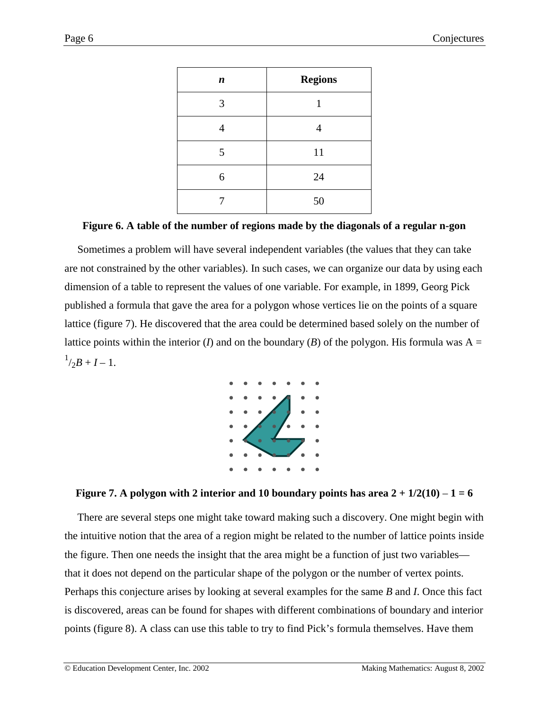| $\boldsymbol{n}$ | <b>Regions</b> |
|------------------|----------------|
| 3                | 1              |
| 4                | 4              |
| 5                | 11             |
| 6                | 24             |
|                  | 50             |

### **Figure 6. A table of the number of regions made by the diagonals of a regular n-gon**

Sometimes a problem will have several independent variables (the values that they can take are not constrained by the other variables). In such cases, we can organize our data by using each dimension of a table to represent the values of one variable. For example, in 1899, Georg Pick published a formula that gave the area for a polygon whose vertices lie on the points of a square lattice (figure 7). He discovered that the area could be determined based solely on the number of lattice points within the interior (*I*) and on the boundary (*B*) of the polygon. His formula was  $A =$  $^{1}/_{2}B + I - 1.$ 



## **Figure 7.** A polygon with 2 interior and 10 boundary points has area  $2 + \frac{1}{2}(10) - 1 = 6$

There are several steps one might take toward making such a discovery. One might begin with the intuitive notion that the area of a region might be related to the number of lattice points inside the figure. Then one needs the insight that the area might be a function of just two variables that it does not depend on the particular shape of the polygon or the number of vertex points. Perhaps this conjecture arises by looking at several examples for the same *B* and *I*. Once this fact is discovered, areas can be found for shapes with different combinations of boundary and interior points (figure 8). A class can use this table to try to find Pick's formula themselves. Have them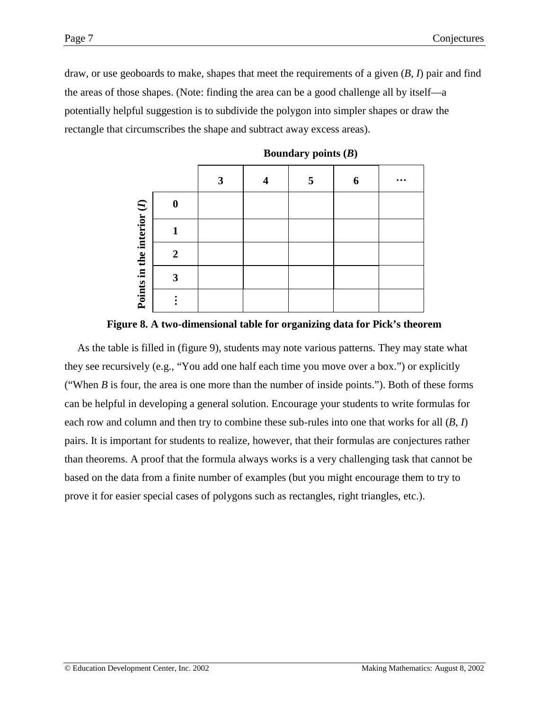rectangle that circumscribes the shape and subtract away excess areas).



**Boundary points (***B***)**



As the table is filled in (figure 9), students may note various patterns. They may state what they see recursively (e.g., "You add one half each time you move over a box.") or explicitly ("When  $B$  is four, the area is one more than the number of inside points."). Both of these forms can be helpful in developing a general solution. Encourage your students to write formulas for each row and column and then try to combine these sub-rules into one that works for all (*B*, *I*) pairs. It is important for students to realize, however, that their formulas are conjectures rather than theorems. A proof that the formula always works is a very challenging task that cannot be based on the data from a finite number of examples (but you might encourage them to try to prove it for easier special cases of polygons such as rectangles, right triangles, etc.).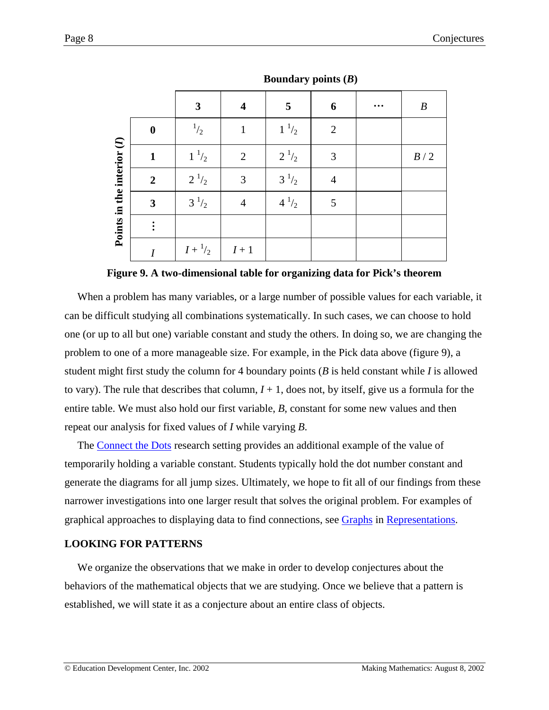|                            |                  | $\mathbf{v}$ .<br>$\sim$ $\sim$ |                         |            |                |  |                  |  |  |
|----------------------------|------------------|---------------------------------|-------------------------|------------|----------------|--|------------------|--|--|
|                            |                  | $\mathbf{3}$                    | $\overline{\mathbf{4}}$ | 5          | 6              |  | $\boldsymbol{B}$ |  |  |
|                            | $\boldsymbol{0}$ | $\frac{1}{2}$                   | $\mathbf{1}$            | $1^{-1/2}$ | $\overline{2}$ |  |                  |  |  |
| Points in the interior (I) | $\mathbf{1}$     | $1^{-1/2}$                      | $\overline{2}$          | $2^{1/2}$  | 3              |  | $B\,/\,2$        |  |  |
|                            | $\overline{2}$   | $2^{1/2}$                       | $\mathfrak{Z}$          | $3^{1/2}$  | $\overline{4}$ |  |                  |  |  |
|                            | $\mathbf{3}$     | $3^{1/2}$                       | $\overline{4}$          | $4^{1/2}$  | $\mathfrak{S}$ |  |                  |  |  |
|                            |                  |                                 |                         |            |                |  |                  |  |  |
|                            | $\boldsymbol{I}$ | $I + \frac{1}{2}$               | $I\,\!+\,1$             |            |                |  |                  |  |  |

**Boundary points (***B***)**

#### **Figure 9. A two-dimensional table for organizing data for Pick's theorem**

When a problem has many variables, or a large number of possible values for each variable, it can be difficult studying all combinations systematically. In such cases, we can choose to hold one (or up to all but one) variable constant and study the others. In doing so, we are changing the problem to one of a more manageable size. For example, in the Pick data above (figure 9), a student might first study the column for 4 boundary points (*B* is held constant while *I* is allowed to vary). The rule that describes that column,  $I + 1$ , does not, by itself, give us a formula for the entire table. We must also hold our first variable, *B*, constant for some new values and then repeat our analysis for fixed values of *I* while varying *B*.

The [Connect the Dots](http://www2.edc.org/makingmath/mathsettings/connect/connect.asp) research setting provides an additional example of the value of temporarily holding a variable constant. Students typically hold the dot number constant and generate the diagrams for all jump sizes. Ultimately, we hope to fit all of our findings from these narrower investigations into one larger result that solves the original problem. For examples of graphical approaches to displaying data to find connections, see [Graphs](http://www2.edc.org/makingmath/handbook/teacher/representations/representations.asp#Graphs) in [Representations.](http://www2.edc.org/makingmath/handbook/teacher/representations/representations.asp)

#### **LOOKING FOR PATTERNS**

We organize the observations that we make in order to develop conjectures about the behaviors of the mathematical objects that we are studying. Once we believe that a pattern is established, we will state it as a conjecture about an entire class of objects.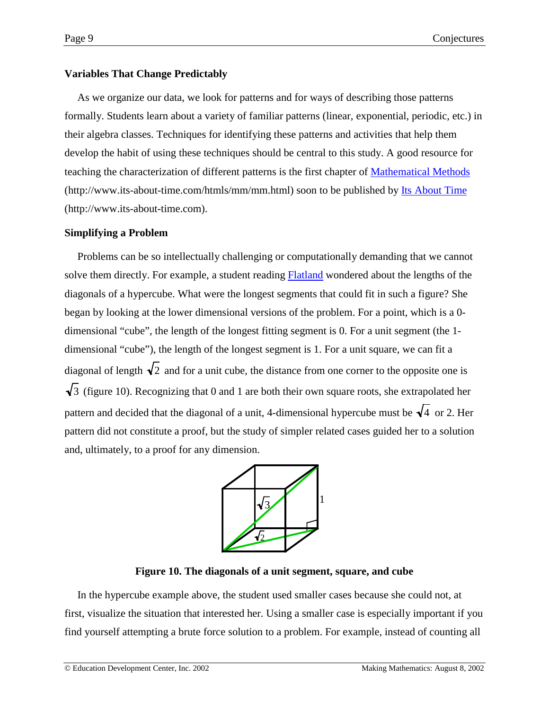# **Variables That Change Predictably**

As we organize our data, we look for patterns and for ways of describing those patterns formally. Students learn about a variety of familiar patterns (linear, exponential, periodic, etc.) in their algebra classes. Techniques for identifying these patterns and activities that help them develop the habit of using these techniques should be central to this study. A good resource for teaching the characterization of different patterns is the first chapter of [Mathematical Methods](http://www.its-abbout-time.com/htmls/mm/mm.html) (http://www.its-about-time.com/htmls/mm/mm.html) soon to be published by [Its About Time](http://www.its-about-time.com/) (http://www.its-about-time.com).

## **Simplifying a Problem**

Problems can be so intellectually challenging or computationally demanding that we cannot solve them directly. For example, a student reading **Flatland** wondered about the lengths of the diagonals of a hypercube. What were the longest segments that could fit in such a figure? She began by looking at the lower dimensional versions of the problem. For a point, which is a 0 dimensional "cube", the length of the longest fitting segment is 0. For a unit segment (the 1 dimensional "cube"), the length of the longest segment is 1. For a unit square, we can fit a diagonal of length  $\sqrt{2}$  and for a unit cube, the distance from one corner to the opposite one is  $\sqrt{3}$  (figure 10). Recognizing that 0 and 1 are both their own square roots, she extrapolated her pattern and decided that the diagonal of a unit, 4-dimensional hypercube must be  $\sqrt{4}$  or 2. Her pattern did not constitute a proof, but the study of simpler related cases guided her to a solution and, ultimately, to a proof for any dimension.



## **Figure 10. The diagonals of a unit segment, square, and cube**

In the hypercube example above, the student used smaller cases because she could not, at first, visualize the situation that interested her. Using a smaller case is especially important if you find yourself attempting a brute force solution to a problem. For example, instead of counting all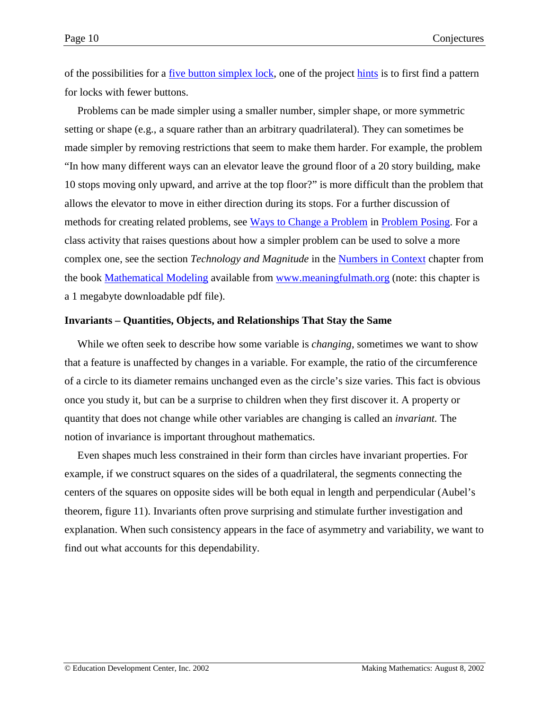of the possibilities for a <u>five button simplex lock</u>, one of the project [hints](http://www2.edc.org/makingmath/mathprojects/simplex/simplex_hints.asp) is to first find a pattern for locks with fewer buttons.

Problems can be made simpler using a smaller number, simpler shape, or more symmetric setting or shape (e.g., a square rather than an arbitrary quadrilateral). They can sometimes be made simpler by removing restrictions that seem to make them harder. For example, the problem "In how many different ways can an elevator leave the ground floor of a 20 story building, make 10 stops moving only upward, and arrive at the top floor?" is more difficult than the problem that allows the elevator to move in either direction during its stops. For a further discussion of methods for creating related problems, see [Ways to Change a Problem](http://www2.edc.org/makingmath/handbook/teacher/problemposing/problemposing.asp#WaysToChangeAProblem) in [Problem Posing.](http://www2.edc.org/makingmath/handbook/teacher/problemposing/problemposing.asp) For a class activity that raises questions about how a simpler problem can be used to solve a more complex one, see the section *Technology and Magnitude* in the [Numbers in Context](http://www.meaningfulmath.org/numbers.pdf) chapter from the book [Mathematical Modeling](http://www.meaningfulmath.org/modeling.html) available from [www.meaningfulmath.org](http://www.meaningfulmath.org/) (note: this chapter is a 1 megabyte downloadable pdf file).

### **Invariants – Quantities, Objects, and Relationships That Stay the Same**

While we often seek to describe how some variable is *changing*, sometimes we want to show that a feature is unaffected by changes in a variable. For example, the ratio of the circumference of a circle to its diameter remains unchanged even as the circle's size varies. This fact is obvious once you study it, but can be a surprise to children when they first discover it. A property or quantity that does not change while other variables are changing is called an *invariant.* The notion of invariance is important throughout mathematics.

Even shapes much less constrained in their form than circles have invariant properties. For example, if we construct squares on the sides of a quadrilateral, the segments connecting the centers of the squares on opposite sides will be both equal in length and perpendicular (Aubel's theorem, figure 11). Invariants often prove surprising and stimulate further investigation and explanation. When such consistency appears in the face of asymmetry and variability, we want to find out what accounts for this dependability.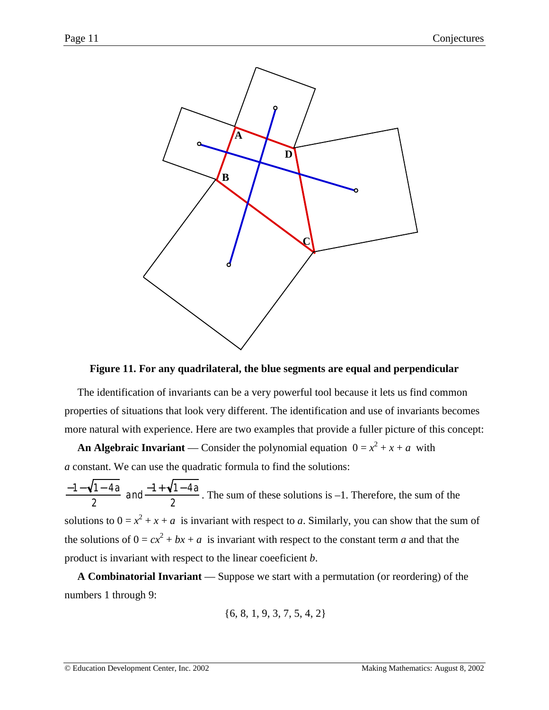

### **Figure 11. For any quadrilateral, the blue segments are equal and perpendicular**

The identification of invariants can be a very powerful tool because it lets us find common properties of situations that look very different. The identification and use of invariants becomes more natural with experience. Here are two examples that provide a fuller picture of this concept:

**An Algebraic Invariant** — Consider the polynomial equation  $0 = x^2 + x + a$  with *a* constant. We can use the quadratic formula to find the solutions:

−1− 1− 4*a* 2 and  $\frac{-1+\sqrt{1-4a}}{2}$ . The sum of these solutions is -1. Therefore, the sum of the solutions to  $0 = x^2 + x + a$  is invariant with respect to *a*. Similarly, you can show that the sum of the solutions of  $0 = cx^2 + bx + a$  is invariant with respect to the constant term *a* and that the product is invariant with respect to the linear coeeficient *b*.

**A Combinatorial Invariant** — Suppose we start with a permutation (or reordering) of the numbers 1 through 9:

$$
\{6, 8, 1, 9, 3, 7, 5, 4, 2\}
$$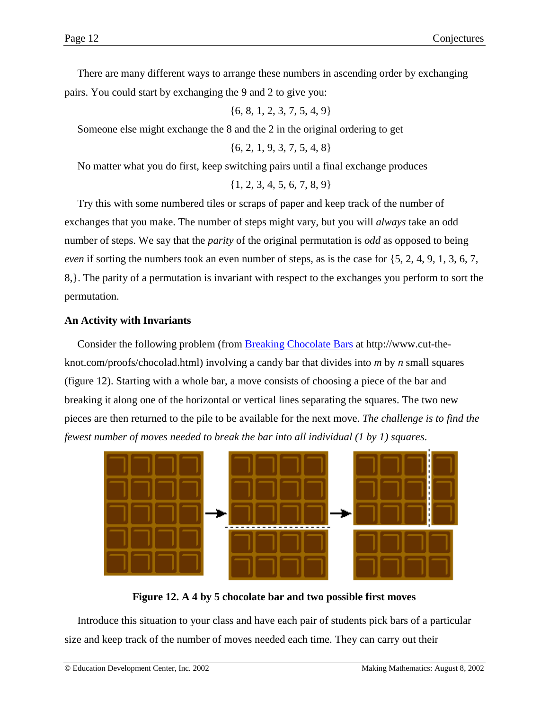There are many different ways to arrange these numbers in ascending order by exchanging pairs. You could start by exchanging the 9 and 2 to give you:

{6, 8, 1, 2, 3, 7, 5, 4, 9}

Someone else might exchange the 8 and the 2 in the original ordering to get

{6, 2, 1, 9, 3, 7, 5, 4, 8}

No matter what you do first, keep switching pairs until a final exchange produces

{1, 2, 3, 4, 5, 6, 7, 8, 9}

Try this with some numbered tiles or scraps of paper and keep track of the number of exchanges that you make. The number of steps might vary, but you will *always* take an odd number of steps. We say that the *parity* of the original permutation is *odd* as opposed to being *even* if sorting the numbers took an even number of steps, as is the case for {5, 2, 4, 9, 1, 3, 6, 7, 8,}. The parity of a permutation is invariant with respect to the exchanges you perform to sort the permutation.

### **An Activity with Invariants**

Consider the following problem (from **Breaking Chocolate Bars** at http://www.cut-theknot.com/proofs/chocolad.html) involving a candy bar that divides into *m* by *n* small squares (figure 12). Starting with a whole bar, a move consists of choosing a piece of the bar and breaking it along one of the horizontal or vertical lines separating the squares. The two new pieces are then returned to the pile to be available for the next move. *The challenge is to find the fewest number of moves needed to break the bar into all individual (1 by 1) squares*.



**Figure 12. A 4 by 5 chocolate bar and two possible first moves**

Introduce this situation to your class and have each pair of students pick bars of a particular size and keep track of the number of moves needed each time. They can carry out their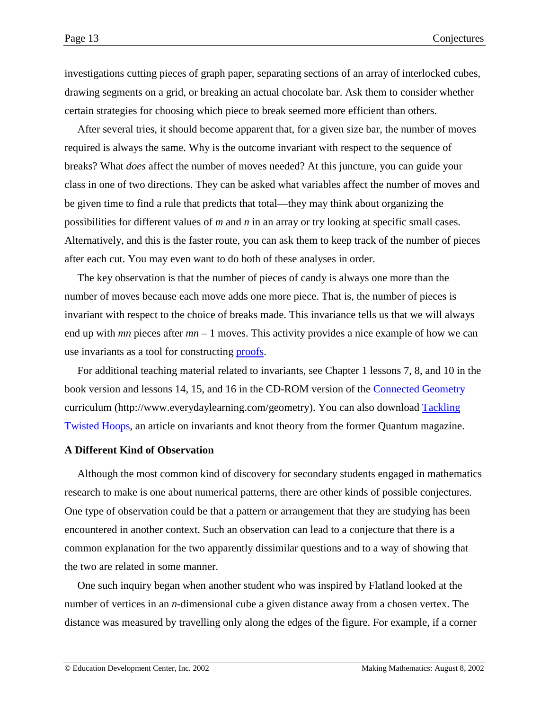investigations cutting pieces of graph paper, separating sections of an array of interlocked cubes, drawing segments on a grid, or breaking an actual chocolate bar. Ask them to consider whether certain strategies for choosing which piece to break seemed more efficient than others.

After several tries, it should become apparent that, for a given size bar, the number of moves required is always the same. Why is the outcome invariant with respect to the sequence of breaks? What *does* affect the number of moves needed? At this juncture, you can guide your class in one of two directions. They can be asked what variables affect the number of moves and be given time to find a rule that predicts that total—they may think about organizing the possibilities for different values of *m* and *n* in an array or try looking at specific small cases. Alternatively, and this is the faster route, you can ask them to keep track of the number of pieces after each cut. You may even want to do both of these analyses in order.

The key observation is that the number of pieces of candy is always one more than the number of moves because each move adds one more piece. That is, the number of pieces is invariant with respect to the choice of breaks made. This invariance tells us that we will always end up with *mn* pieces after *mn* – 1 moves. This activity provides a nice example of how we can use invariants as a tool for constructing [proofs.](http://www2.edc.org/makingmath/handbook/teacher/proof/proof.asp)

For additional teaching material related to invariants, see Chapter 1 lessons 7, 8, and 10 in the book version and lessons 14, 15, and 16 in the CD-ROM version of the [Connected Geometry](http://www.everydaylearning.com/geometry) curriculum (http://www.everydaylearning.com/geometry). You can also download [Tackling](#page-0-0) [Twisted Hoops,](#page-0-0) an article on invariants and knot theory from the former Quantum magazine.

#### **A Different Kind of Observation**

Although the most common kind of discovery for secondary students engaged in mathematics research to make is one about numerical patterns, there are other kinds of possible conjectures. One type of observation could be that a pattern or arrangement that they are studying has been encountered in another context. Such an observation can lead to a conjecture that there is a common explanation for the two apparently dissimilar questions and to a way of showing that the two are related in some manner.

One such inquiry began when another student who was inspired by Flatland looked at the number of vertices in an *n*-dimensional cube a given distance away from a chosen vertex. The distance was measured by travelling only along the edges of the figure. For example, if a corner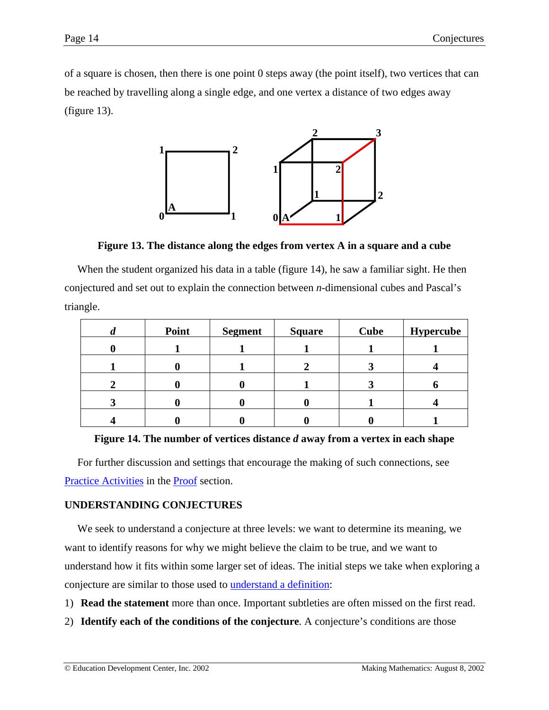of a square is chosen, then there is one point 0 steps away (the point itself), two vertices that can be reached by travelling along a single edge, and one vertex a distance of two edges away (figure 13).



**Figure 13. The distance along the edges from vertex A in a square and a cube**

When the student organized his data in a table (figure 14), he saw a familiar sight. He then conjectured and set out to explain the connection between *n*-dimensional cubes and Pascal's triangle.

| u | Point | <b>Segment</b> | <b>Square</b> | <b>Cube</b> | <b>Hypercube</b> |
|---|-------|----------------|---------------|-------------|------------------|
|   |       |                |               |             |                  |
|   |       |                |               |             |                  |
|   |       |                |               |             |                  |
| J |       |                |               |             |                  |
|   |       |                |               |             |                  |



For further discussion and settings that encourage the making of such connections, see [Practice Activities](http://www2.edc.org/makingmath/handbook/teacher/proof/proof.asp#PracticeActivities) in the **Proof** section.

## **UNDERSTANDING CONJECTURES**

We seek to understand a conjecture at three levels: we want to determine its meaning, we want to identify reasons for why we might believe the claim to be true, and we want to understand how it fits within some larger set of ideas. The initial steps we take when exploring a conjecture are similar to those used to [understand a definition:](http://www2.edc.org/makingmath/handbook/teacher/definitions/definitions.asp#UnderstandingADefinition)

- 1) **Read the statement** more than once. Important subtleties are often missed on the first read.
- 2) **Identify each of the conditions of the conjecture**. A conjecture's conditions are those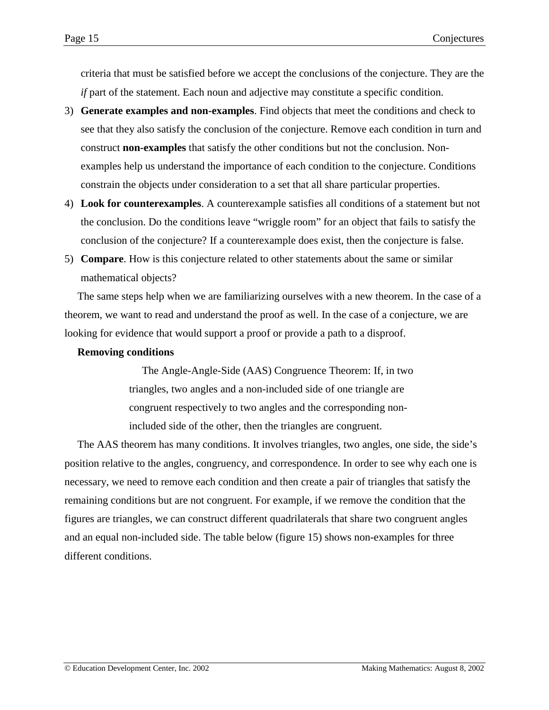criteria that must be satisfied before we accept the conclusions of the conjecture. They are the *if* part of the statement. Each noun and adjective may constitute a specific condition.

- 3) **Generate examples and non-examples**. Find objects that meet the conditions and check to see that they also satisfy the conclusion of the conjecture. Remove each condition in turn and construct **non-examples** that satisfy the other conditions but not the conclusion. Nonexamples help us understand the importance of each condition to the conjecture. Conditions constrain the objects under consideration to a set that all share particular properties.
- 4) **Look for counterexamples**. A counterexample satisfies all conditions of a statement but not the conclusion. Do the conditions leave "wriggle room" for an object that fails to satisfy the conclusion of the conjecture? If a counterexample does exist, then the conjecture is false.
- 5) **Compare**. How is this conjecture related to other statements about the same or similar mathematical objects?

The same steps help when we are familiarizing ourselves with a new theorem. In the case of a theorem, we want to read and understand the proof as well. In the case of a conjecture, we are looking for evidence that would support a proof or provide a path to a disproof.

### **Removing conditions**

The Angle-Angle-Side (AAS) Congruence Theorem: If, in two triangles, two angles and a non-included side of one triangle are congruent respectively to two angles and the corresponding nonincluded side of the other, then the triangles are congruent.

The AAS theorem has many conditions. It involves triangles, two angles, one side, the side's position relative to the angles, congruency, and correspondence. In order to see why each one is necessary, we need to remove each condition and then create a pair of triangles that satisfy the remaining conditions but are not congruent. For example, if we remove the condition that the figures are triangles, we can construct different quadrilaterals that share two congruent angles and an equal non-included side. The table below (figure 15) shows non-examples for three different conditions.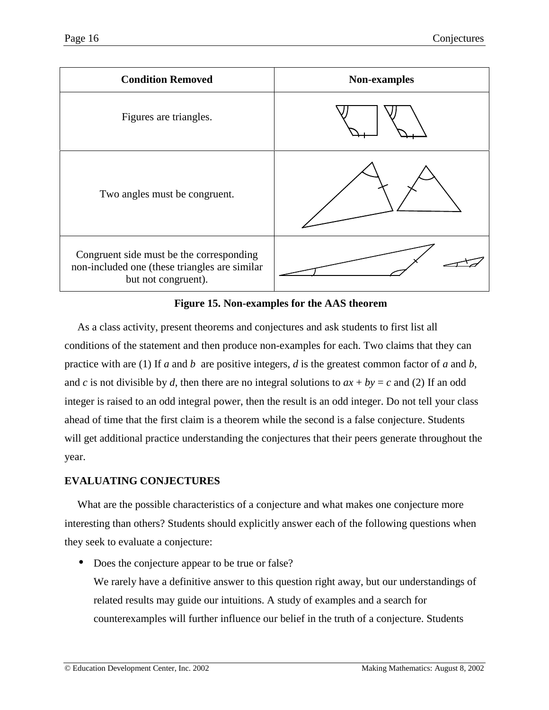<span id="page-15-0"></span>

**Figure 15. Non-examples for the AAS theorem**

As a class activity, present theorems and conjectures and ask students to first list all conditions of the statement and then produce non-examples for each. Two claims that they can practice with are (1) If *a* and *b* are positive integers, *d* is the greatest common factor of *a* and *b*, and *c* is not divisible by *d*, then there are no integral solutions to  $ax + by = c$  and (2) If an odd integer is raised to an odd integral power, then the result is an odd integer. Do not tell your class ahead of time that the first claim is a theorem while the second is a false conjecture. Students will get additional practice understanding the conjectures that their peers generate throughout the year.

# **EVALUATING CONJECTURES**

What are the possible characteristics of a conjecture and what makes one conjecture more interesting than others? Students should explicitly answer each of the following questions when they seek to evaluate a conjecture:

• Does the conjecture appear to be true or false?

We rarely have a definitive answer to this question right away, but our understandings of related results may guide our intuitions. A study of examples and a search for counterexamples will further influence our belief in the truth of a conjecture. Students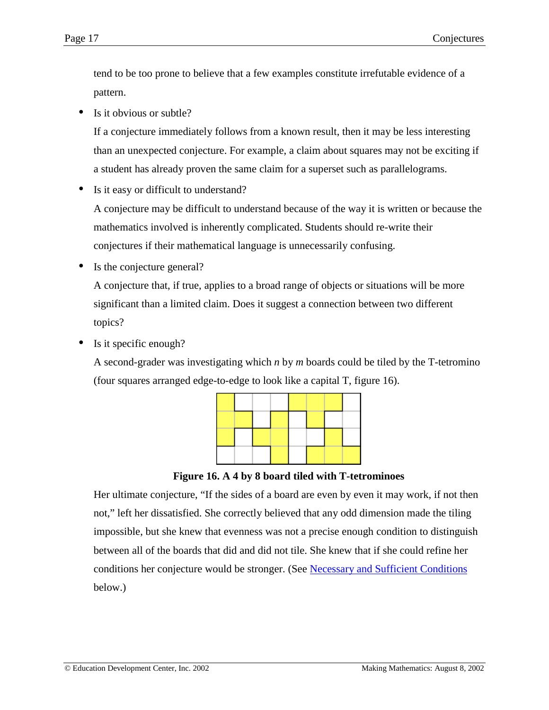<span id="page-16-0"></span>tend to be too prone to believe that a few examples constitute irrefutable evidence of a pattern.

Is it obvious or subtle?

If a conjecture immediately follows from a known result, then it may be less interesting than an unexpected conjecture. For example, a claim about squares may not be exciting if a student has already proven the same claim for a superset such as parallelograms.

• Is it easy or difficult to understand?

A conjecture may be difficult to understand because of the way it is written or because the mathematics involved is inherently complicated. Students should re-write their conjectures if their mathematical language is unnecessarily confusing.

Is the conjecture general?

A conjecture that, if true, applies to a broad range of objects or situations will be more significant than a limited claim. Does it suggest a connection between two different topics?

Is it specific enough?

A second-grader was investigating which *n* by *m* boards could be tiled by the T-tetromino (four squares arranged edge-to-edge to look like a capital T, figure 16).



**Figure 16. A 4 by 8 board tiled with T-tetrominoes**

Her ultimate conjecture, "If the sides of a board are even by even it may work, if not then not," left her dissatisfied. She correctly believed that any odd dimension made the tiling impossible, but she knew that evenness was not a precise enough condition to distinguish between all of the boards that did and did not tile. She knew that if she could refine her conditions her conjecture would be stronger. (See [Necessary and Sufficient Conditions](#page-21-0) below.)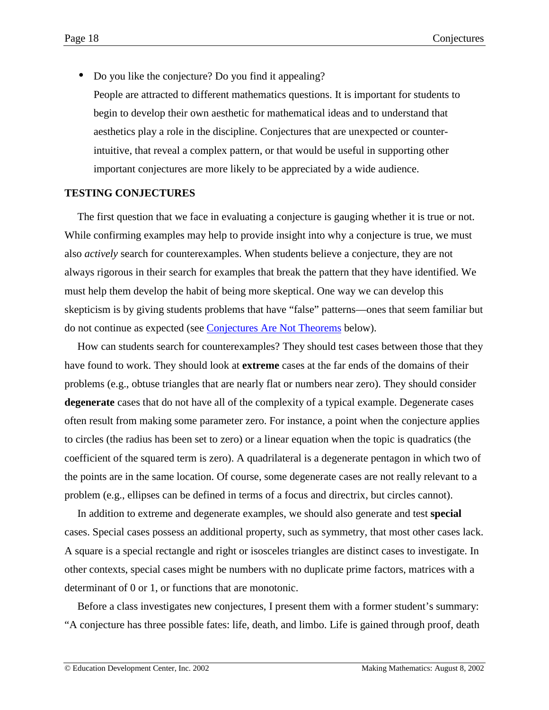<span id="page-17-0"></span>• Do you like the conjecture? Do you find it appealing? People are attracted to different mathematics questions. It is important for students to begin to develop their own aesthetic for mathematical ideas and to understand that aesthetics play a role in the discipline. Conjectures that are unexpected or counterintuitive, that reveal a complex pattern, or that would be useful in supporting other important conjectures are more likely to be appreciated by a wide audience.

### **TESTING CONJECTURES**

The first question that we face in evaluating a conjecture is gauging whether it is true or not. While confirming examples may help to provide insight into why a conjecture is true, we must also *actively* search for counterexamples. When students believe a conjecture, they are not always rigorous in their search for examples that break the pattern that they have identified. We must help them develop the habit of being more skeptical. One way we can develop this skepticism is by giving students problems that have "false" patterns—ones that seem familiar but do not continue as expected (see [Conjectures Are Not Theorems](#page-22-0) below).

How can students search for counterexamples? They should test cases between those that they have found to work. They should look at **extreme** cases at the far ends of the domains of their problems (e.g., obtuse triangles that are nearly flat or numbers near zero). They should consider **degenerate** cases that do not have all of the complexity of a typical example. Degenerate cases often result from making some parameter zero. For instance, a point when the conjecture applies to circles (the radius has been set to zero) or a linear equation when the topic is quadratics (the coefficient of the squared term is zero). A quadrilateral is a degenerate pentagon in which two of the points are in the same location. Of course, some degenerate cases are not really relevant to a problem (e.g., ellipses can be defined in terms of a focus and directrix, but circles cannot).

In addition to extreme and degenerate examples, we should also generate and test **special** cases. Special cases possess an additional property, such as symmetry, that most other cases lack. A square is a special rectangle and right or isosceles triangles are distinct cases to investigate. In other contexts, special cases might be numbers with no duplicate prime factors, matrices with a determinant of 0 or 1, or functions that are monotonic.

Before a class investigates new conjectures, I present them with a former student's summary: "A conjecture has three possible fates: life, death, and limbo. Life is gained through proof, death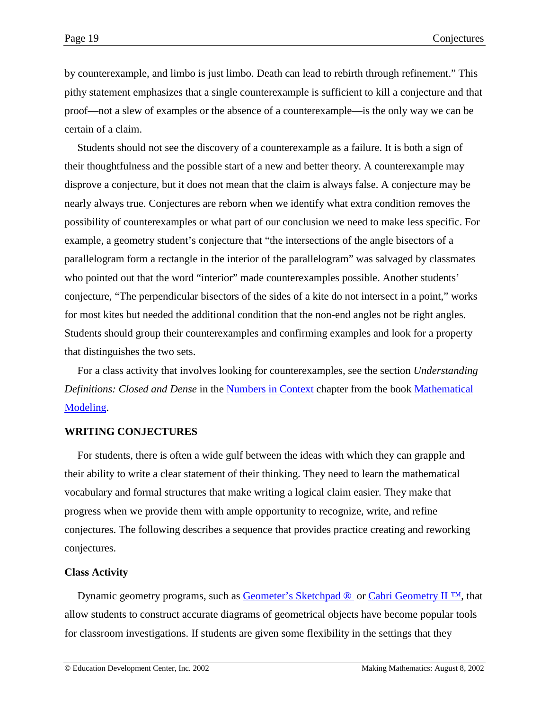by counterexample, and limbo is just limbo. Death can lead to rebirth through refinement." This pithy statement emphasizes that a single counterexample is sufficient to kill a conjecture and that proof—not a slew of examples or the absence of a counterexample—is the only way we can be certain of a claim.

Students should not see the discovery of a counterexample as a failure. It is both a sign of their thoughtfulness and the possible start of a new and better theory. A counterexample may disprove a conjecture, but it does not mean that the claim is always false. A conjecture may be nearly always true. Conjectures are reborn when we identify what extra condition removes the possibility of counterexamples or what part of our conclusion we need to make less specific. For example, a geometry student's conjecture that "the intersections of the angle bisectors of a parallelogram form a rectangle in the interior of the parallelogram" was salvaged by classmates who pointed out that the word "interior" made counterexamples possible. Another students' conjecture, "The perpendicular bisectors of the sides of a kite do not intersect in a point," works for most kites but needed the additional condition that the non-end angles not be right angles. Students should group their counterexamples and confirming examples and look for a property that distinguishes the two sets.

For a class activity that involves looking for counterexamples, see the section *Understanding Definitions: Closed and Dense* in the [Numbers in Context](http://www.meaningfulmath.org/numbers.pdf) chapter from the book [Mathematical](http://www.meaningfulmath.org/modeling.html) [Modeling.](http://www.meaningfulmath.org/modeling.html)

### **WRITING CONJECTURES**

For students, there is often a wide gulf between the ideas with which they can grapple and their ability to write a clear statement of their thinking. They need to learn the mathematical vocabulary and formal structures that make writing a logical claim easier. They make that progress when we provide them with ample opportunity to recognize, write, and refine conjectures. The following describes a sequence that provides practice creating and reworking conjectures.

## **Class Activity**

Dynamic geometry programs, such as Geometer's Sketchpad <sup>®</sup> or Cabri Geometry II<sup>™</sup>, that allow students to construct accurate diagrams of geometrical objects have become popular tools for classroom investigations. If students are given some flexibility in the settings that they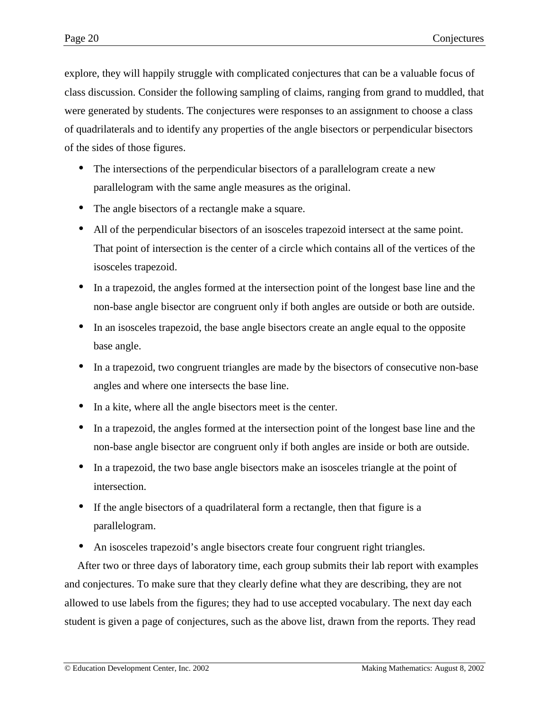<span id="page-19-0"></span>explore, they will happily struggle with complicated conjectures that can be a valuable focus of class discussion. Consider the following sampling of claims, ranging from grand to muddled, that were generated by students. The conjectures were responses to an assignment to choose a class of quadrilaterals and to identify any properties of the angle bisectors or perpendicular bisectors of the sides of those figures.

- The intersections of the perpendicular bisectors of a parallelogram create a new parallelogram with the same angle measures as the original.
- The angle bisectors of a rectangle make a square.
- All of the perpendicular bisectors of an isosceles trapezoid intersect at the same point. That point of intersection is the center of a circle which contains all of the vertices of the isosceles trapezoid.
- In a trapezoid, the angles formed at the intersection point of the longest base line and the non-base angle bisector are congruent only if both angles are outside or both are outside.
- In an isosceles trapezoid, the base angle bisectors create an angle equal to the opposite base angle.
- In a trapezoid, two congruent triangles are made by the bisectors of consecutive non-base angles and where one intersects the base line.
- In a kite, where all the angle bisectors meet is the center.
- In a trapezoid, the angles formed at the intersection point of the longest base line and the non-base angle bisector are congruent only if both angles are inside or both are outside.
- In a trapezoid, the two base angle bisectors make an isosceles triangle at the point of intersection.
- If the angle bisectors of a quadrilateral form a rectangle, then that figure is a parallelogram.
- An isosceles trapezoid's angle bisectors create four congruent right triangles.

After two or three days of laboratory time, each group submits their lab report with examples and conjectures. To make sure that they clearly define what they are describing, they are not allowed to use labels from the figures; they had to use accepted vocabulary. The next day each student is given a page of conjectures, such as the above list, drawn from the reports. They read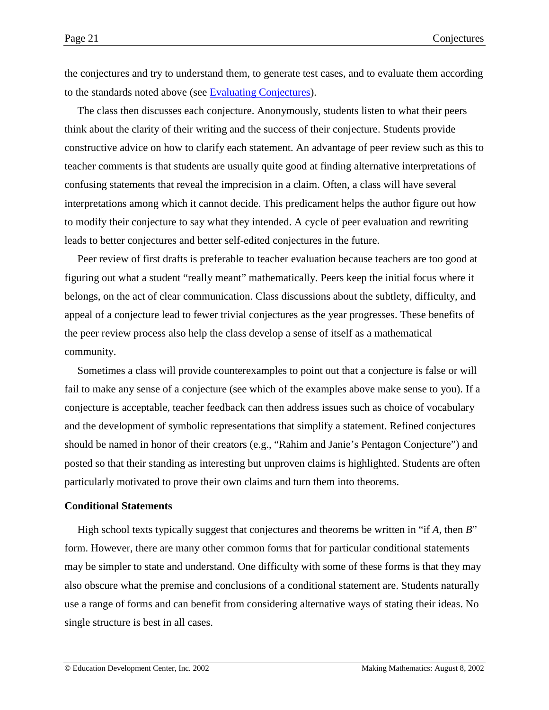the conjectures and try to understand them, to generate test cases, and to evaluate them according to the standards noted above (see [Evaluating Conjectures\)](#page-15-0).

The class then discusses each conjecture. Anonymously, students listen to what their peers think about the clarity of their writing and the success of their conjecture. Students provide constructive advice on how to clarify each statement. An advantage of peer review such as this to teacher comments is that students are usually quite good at finding alternative interpretations of confusing statements that reveal the imprecision in a claim. Often, a class will have several interpretations among which it cannot decide. This predicament helps the author figure out how to modify their conjecture to say what they intended. A cycle of peer evaluation and rewriting leads to better conjectures and better self-edited conjectures in the future.

Peer review of first drafts is preferable to teacher evaluation because teachers are too good at figuring out what a student "really meant" mathematically. Peers keep the initial focus where it belongs, on the act of clear communication. Class discussions about the subtlety, difficulty, and appeal of a conjecture lead to fewer trivial conjectures as the year progresses. These benefits of the peer review process also help the class develop a sense of itself as a mathematical community.

Sometimes a class will provide counterexamples to point out that a conjecture is false or will fail to make any sense of a conjecture (see which of the examples above make sense to you). If a conjecture is acceptable, teacher feedback can then address issues such as choice of vocabulary and the development of symbolic representations that simplify a statement. Refined conjectures should be named in honor of their creators (e.g., "Rahim and Janie's Pentagon Conjecture") and posted so that their standing as interesting but unproven claims is highlighted. Students are often particularly motivated to prove their own claims and turn them into theorems.

### **Conditional Statements**

High school texts typically suggest that conjectures and theorems be written in "if *A*, then *B*" form. However, there are many other common forms that for particular conditional statements may be simpler to state and understand. One difficulty with some of these forms is that they may also obscure what the premise and conclusions of a conditional statement are. Students naturally use a range of forms and can benefit from considering alternative ways of stating their ideas. No single structure is best in all cases.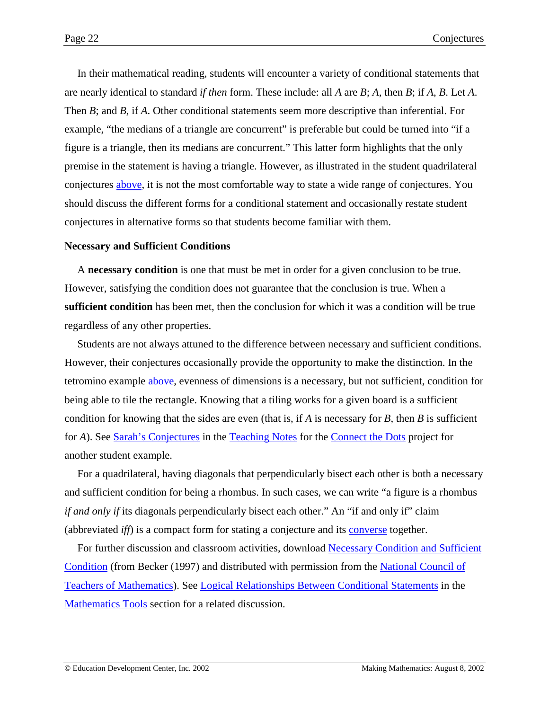<span id="page-21-0"></span>In their mathematical reading, students will encounter a variety of conditional statements that are nearly identical to standard *if then* form. These include: all *A* are *B*; *A*, then *B*; if *A*, *B*. Let *A*. Then *B*; and *B*, if *A*. Other conditional statements seem more descriptive than inferential. For example, "the medians of a triangle are concurrent" is preferable but could be turned into "if a figure is a triangle, then its medians are concurrent." This latter form highlights that the only premise in the statement is having a triangle. However, as illustrated in the student quadrilateral conjectures [above,](#page-19-0) it is not the most comfortable way to state a wide range of conjectures. You should discuss the different forms for a conditional statement and occasionally restate student conjectures in alternative forms so that students become familiar with them.

### **Necessary and Sufficient Conditions**

A **necessary condition** is one that must be met in order for a given conclusion to be true. However, satisfying the condition does not guarantee that the conclusion is true. When a **sufficient condition** has been met, then the conclusion for which it was a condition will be true regardless of any other properties.

Students are not always attuned to the difference between necessary and sufficient conditions. However, their conjectures occasionally provide the opportunity to make the distinction. In the tetromino example [above,](#page-16-0) evenness of dimensions is a necessary, but not sufficient, condition for being able to tile the rectangle. Knowing that a tiling works for a given board is a sufficient condition for knowing that the sides are even (that is, if *A* is necessary for *B*, then *B* is sufficient for *A*). See [Sarah's Conjectures](http://www2.edc.org/makingmath/mathsettings/connect/ConnectTheDots_TeachNotes.asp#SarahsConjectures) in the [Teaching Notes](http://www2.edc.org/makingmath/mathsettings/connect/ConnectTheDots_TeachNotes.asp) for the [Connect the Dots](http://www2.edc.org/makingmath/mathsettings/connect/connect.asp) project for another student example.

For a quadrilateral, having diagonals that perpendicularly bisect each other is both a necessary and sufficient condition for being a rhombus. In such cases, we can write "a figure is a rhombus *if and only if* its diagonals perpendicularly bisect each other." An "if and only if" claim (abbreviated *iff*) is a compact form for stating a conjecture and its [converse](http://www2.edc.org/makingmath/mathtools/conditional/conditional.asp) together.

For further discussion and classroom activities, download [Necessary Condition and Sufficient](#page-0-0) [Condition](#page-0-0) (from Becker (1997) and distributed with permission from the [National Council of](http://www.nctm.org/) [Teachers of Mathematics\)](http://www.nctm.org/). See [Logical Relationships Between Conditional Statements](http://www2.edc.org/makingmath/mathtools/conditional/conditional.asp) in the [Mathematics Tools](http://www2.edc.org/makingmath/mathproj.asp#rstool) section for a related discussion.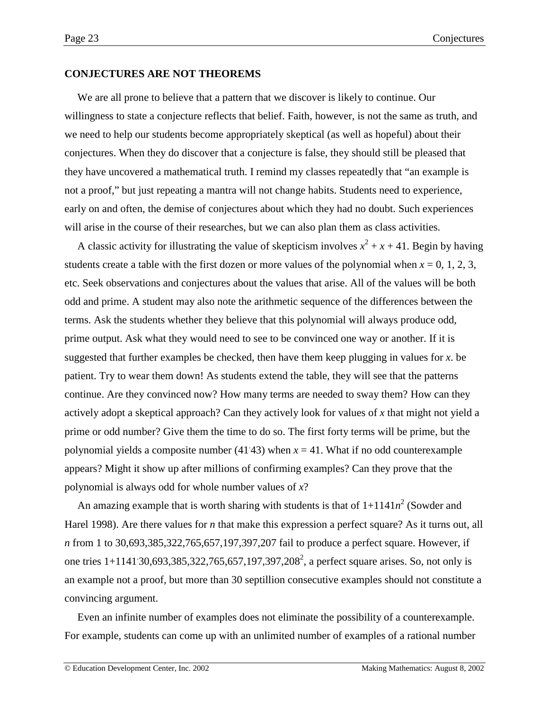### <span id="page-22-0"></span>**CONJECTURES ARE NOT THEOREMS**

We are all prone to believe that a pattern that we discover is likely to continue. Our willingness to state a conjecture reflects that belief. Faith, however, is not the same as truth, and we need to help our students become appropriately skeptical (as well as hopeful) about their conjectures. When they do discover that a conjecture is false, they should still be pleased that they have uncovered a mathematical truth. I remind my classes repeatedly that "an example is not a proof," but just repeating a mantra will not change habits. Students need to experience, early on and often, the demise of conjectures about which they had no doubt. Such experiences will arise in the course of their researches, but we can also plan them as class activities.

A classic activity for illustrating the value of skepticism involves  $x^2 + x + 41$ . Begin by having students create a table with the first dozen or more values of the polynomial when  $x = 0, 1, 2, 3$ , etc. Seek observations and conjectures about the values that arise. All of the values will be both odd and prime. A student may also note the arithmetic sequence of the differences between the terms. Ask the students whether they believe that this polynomial will always produce odd, prime output. Ask what they would need to see to be convinced one way or another. If it is suggested that further examples be checked, then have them keep plugging in values for *x*. be patient. Try to wear them down! As students extend the table, they will see that the patterns continue. Are they convinced now? How many terms are needed to sway them? How can they actively adopt a skeptical approach? Can they actively look for values of *x* that might not yield a prime or odd number? Give them the time to do so. The first forty terms will be prime, but the polynomial yields a composite number  $(41.43)$  when  $x = 41$ . What if no odd counterexample appears? Might it show up after millions of confirming examples? Can they prove that the polynomial is always odd for whole number values of *x*?

An amazing example that is worth sharing with students is that of  $1+1141n^2$  (Sowder and Harel 1998). Are there values for *n* that make this expression a perfect square? As it turns out, all *n* from 1 to 30,693,385,322,765,657,197,397,207 fail to produce a perfect square. However, if one tries 1+1141 30,693,385,322,765,657,197,397,208<sup>2</sup>, a perfect square arises. So, not only is an example not a proof, but more than 30 septillion consecutive examples should not constitute a convincing argument.

Even an infinite number of examples does not eliminate the possibility of a counterexample. For example, students can come up with an unlimited number of examples of a rational number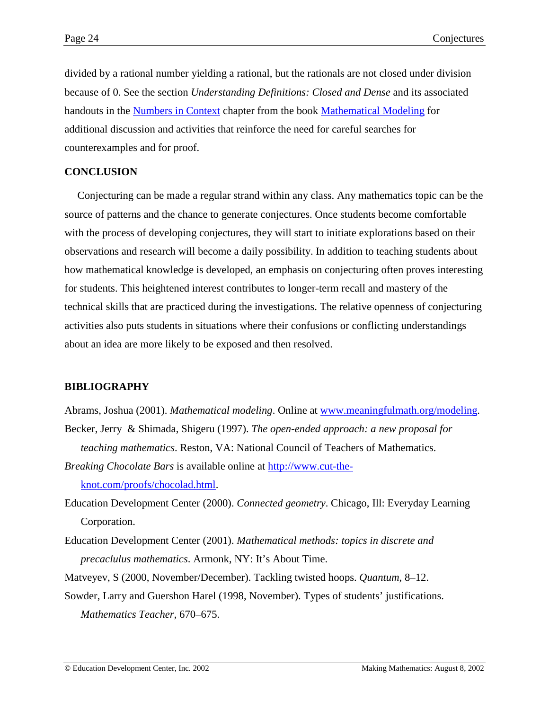divided by a rational number yielding a rational, but the rationals are not closed under division because of 0. See the section *Understanding Definitions: Closed and Dense* and its associated handouts in the [Numbers in Context](http://www.meaningfulmath.org/numbers.pdf) chapter from the book [Mathematical Modeling](http://www.meaningfulmath.org/modeling.html) for additional discussion and activities that reinforce the need for careful searches for counterexamples and for proof.

## **CONCLUSION**

Conjecturing can be made a regular strand within any class. Any mathematics topic can be the source of patterns and the chance to generate conjectures. Once students become comfortable with the process of developing conjectures, they will start to initiate explorations based on their observations and research will become a daily possibility. In addition to teaching students about how mathematical knowledge is developed, an emphasis on conjecturing often proves interesting for students. This heightened interest contributes to longer-term recall and mastery of the technical skills that are practiced during the investigations. The relative openness of conjecturing activities also puts students in situations where their confusions or conflicting understandings about an idea are more likely to be exposed and then resolved.

## **BIBLIOGRAPHY**

Abrams, Joshua (2001). *Mathematical modeling*. Online at [www.meaningfulmath.org/modeling.](http://www.meaningfulmath.org/modeling) Becker, Jerry & Shimada, Shigeru (1997). *The open-ended approach: a new proposal for teaching mathematics*. Reston, VA: National Council of Teachers of Mathematics.

*Breaking Chocolate Bars* is available online at [http://www.cut-the](http://www.cut-the-knot.com/proofs/chocolad.html)[knot.com/proofs/chocolad.html.](http://www.cut-the-knot.com/proofs/chocolad.html)

- Education Development Center (2000). *Connected geometry*. Chicago, Ill: Everyday Learning Corporation.
- Education Development Center (2001). *Mathematical methods: topics in discrete and precaclulus mathematics*. Armonk, NY: It's About Time.
- Matveyev, S (2000, November/December). Tackling twisted hoops. *Quantum*, 8–12.
- Sowder, Larry and Guershon Harel (1998, November). Types of students' justifications. *Mathematics Teacher*, 670–675.